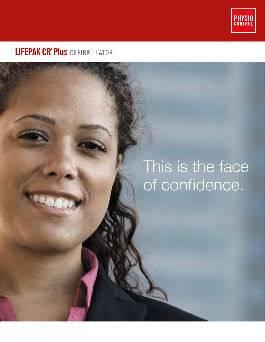

**LIFEPAK CR°Plus DEFIBRILLATOR** 

### This is the face of confidence.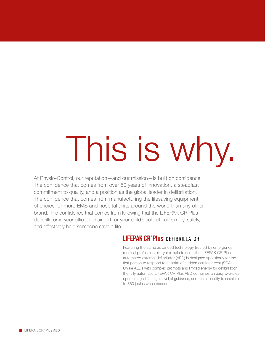# This is why.

At Physio-Control, our reputation—and our mission—is built on confidence. The confidence that comes from over 50 years of innovation, a steadfast commitment to quality, and a position as the global leader in defibrillation. The confidence that comes from manufacturing the lifesaving equipment of choice for more EMS and hospital units around the world than any other brand. The confidence that comes from knowing that the LIFEPAK CR Plus defibrillator in your office, the airport, or your child's school can simply, safely, and effectively help someone save a life.

#### **LIFEPAK CR<sup>®</sup>Plus DEFIBRILLATOR**

Featuring the same advanced technology trusted by emergency medical professionals—yet simple to use—the LIFEPAK CR Plus automated external defibrillator (AED) is designed specifically for the first person to respond to a victim of sudden cardiac arrest (SCA). Unlike AEDs with complex prompts and limited energy for defibrillation, the fully automatic LIFEPAK CR Plus AED combines an easy two-step operation, just the right level of guidance, and the capability to escalate to 360 joules when needed.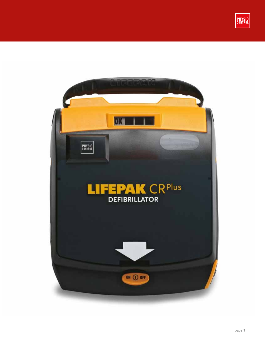

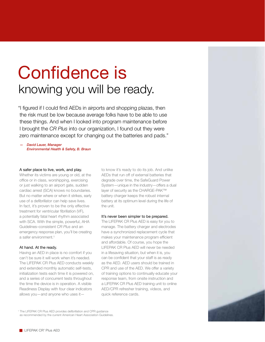### Confidence is knowing you will be ready.

"I figured if I could find AEDs in airports and shopping plazas, then the risk must be low because average folks have to be able to use these things. And when I looked into program maintenance before I brought the *CR Plus* into our organization, I found out they were zero maintenance except for changing out the batteries and pads."

*— David Lauer, Manager Environmental Health & Safety, B. Braun*

#### A safer place to live, work, and play.

Whether its victims are young or old, at the office or in class, worshipping, exercising or just walking to an airport gate, sudden cardiac arrest (SCA) knows no boundaries. But no matter where or when it strikes, early use of a defibrillator can help save lives. In fact, it's proven to be the only effective treatment for ventricular fibrillation (VF), a potentially fatal heart rhythm associated with SCA. With the simple, powerful, AHA Guidelines–consistent *CR Plus* and an emergency response plan, you'll be creating a safer environment.<sup>1</sup>

#### At hand. At the ready.

Having an AED in place is no comfort if you can't be sure it will work when it's needed. The LIFEPAK CR Plus AED conducts weekly and extended monthly automatic self-tests, initialization tests each time it is powered on, and a series of concurrent tests throughout the time the device is in operation. A visible Readiness Display with four clear indicators allows you—and anyone who uses itto know it's ready to do its job. And unlike AEDs that run off of external batteries that degrade over time, the SafeGuard Power System—unique in the industry—offers a dual layer of security as the CHARGE-PAK™ battery charger keeps the robust internal battery at its optimum level during the life of the unit.

#### It's never been simpler to be prepared.

The LIFEPAK CR Plus AED is easy for you to manage. The battery charger and electrodes have a synchronized replacement cycle that makes your maintenance program efficient and affordable. Of course, you hope the LIFEPAK CR Plus AED will never be needed in a lifesaving situation, but when it is, you can be confident that your staff is as ready as the AED. AED users should be trained in CPR and use of the AED. We offer a variety of training options to continually educate your response team, from onsite instruction and a LIFEPAK CR Plus AED training unit to online AED/CPR refresher training, videos, and quick reference cards.

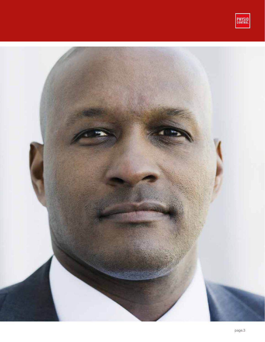

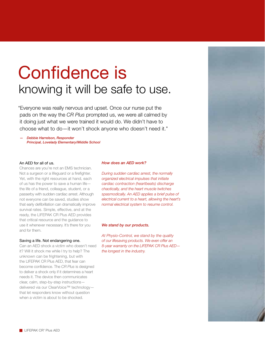### Confidence is knowing it will be safe to use.

"Everyone was really nervous and upset. Once our nurse put the pads on the way the *CR Plus* prompted us, we were all calmed by it doing just what we were trained it would do. We didn't have to choose what to do—it won't shock anyone who doesn't need it."

*— Debbie Harrelson, Responder Principal, Lovelady Elementary/Middle School* 

#### An AED for all of us.

Chances are you're not an EMS technician. Not a surgeon or a lifeguard or a firefighter. Yet, with the right resources at hand, each of us has the power to save a human life the life of a friend, colleague, student, or a passerby with sudden cardiac arrest. Although not everyone can be saved, studies show that early defibrillation can dramatically improve survival rates. Simple, effective, and at the ready, the LIFEPAK CR Plus AED provides that critical resource and the guidance to use it whenever necessary. It's there for you and for them.

#### Saving a life. Not endangering one.

Can an AED shock a victim who doesn't need it? Will it shock me while I try to help? The unknown can be frightening, but with the LIFEPAK CR Plus AED, that fear can become confidence. The *CR Plus* is designed to deliver a shock only if it determines a heart needs it. The device then communicates clear, calm, step-by-step instructions delivered via our ClearVoice™ technology that let responders know without question when a victim is about to be shocked.

#### *How does an AED work?*

*During sudden cardiac arrest, the normally organized electrical impulses that initiate cardiac contraction (heartbeats) discharge chaotically, and the heart muscle twitches spasmodically. An AED applies a brief pulse of electrical current to a heart, allowing the heart's normal electrical system to resume control.* 

#### *We stand by our products.*

*At Physio-Control, we stand by the quality of our lifesaving products. We even offer an 8-year warranty on the LIFEPAK CR Plus AED the longest in the industry.*

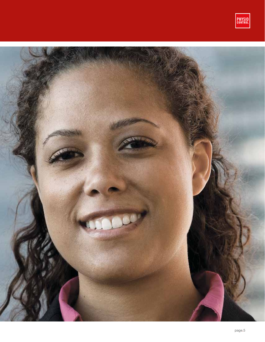

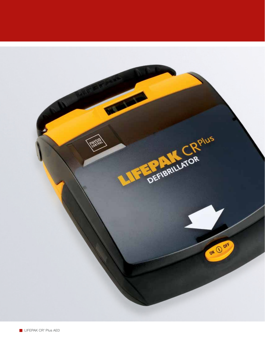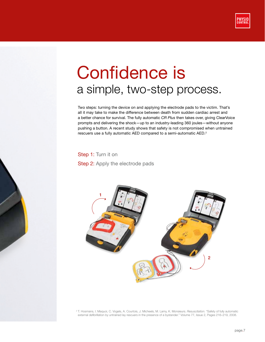

### Confidence is a simple, two-step process.

Two steps: turning the device on and applying the electrode pads to the victim. That's all it may take to make the difference between death from sudden cardiac arrest and a better chance for survival. The fully automatic *CR Plus* then takes over, giving ClearVoice prompts and delivering the shock—up to an industry-leading 360 joules—without anyone pushing a button. A recent study shows that safety is not compromised when untrained rescuers use a fully automatic AED compared to a semi-automatic AED.2

Step 1: Turn it on

Step 2: Apply the electrode pads



<sup>2</sup> T. Hosmans, I. Maquoi, C. Vogels, A. Courtois, J. Micheels, M. Lamy, K. Monsieurs. *Resuscitation.* "Safety of fully automatic external defibrillation by untrained lay rescuers in the presence of a bystander." Volume 77, Issue 2, Pages 216–219, 2008.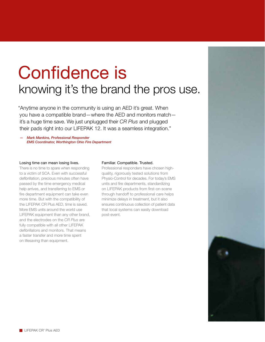### Confidence is knowing it's the brand the pros use.

"Anytime anyone in the community is using an AED it's great. When you have a compatible brand—where the AED and monitors match it's a huge time save. We just unplugged their *CR Plus* and plugged their pads right into our LIFEPAK 12. It was a seamless integration."

*— Mark Mankins, Professional Responder EMS Coordinator, Worthington Ohio Fire Department*

#### Losing time can mean losing lives.

There is no time to spare when responding to a victim of SCA. Even with successful defibrillation, precious minutes often have passed by the time emergency medical help arrives, and transferring to EMS or fire department equipment can take even more time. But with the compatibility of the LIFEPAK CR Plus AED, time is saved. More EMS units around the world use LIFEPAK equipment than any other brand, and the electrodes on the *CR Plus* are fully compatible with all other LIFEPAK defibrillators and monitors. That means a faster transfer and more time spent on lifesaving than equipment.

#### Familiar. Compatible. Trusted.

Professional responders have chosen highquality, rigorously tested solutions from Physio-Control for decades. For today's EMS units and fire departments, standardizing on LIFEPAK products from first-on-scene through handoff to professional care helps minimize delays in treatment, but it also ensures continuous collection of patient data that local systems can easily download post-event.

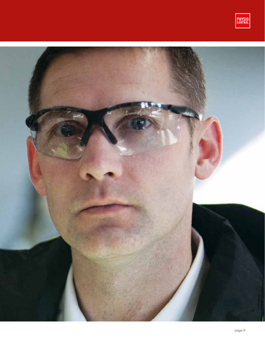

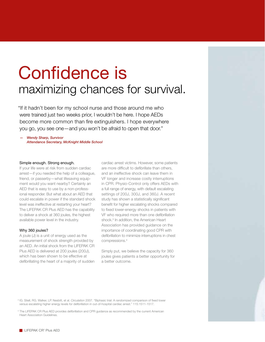### Confidence is maximizing chances for survival.

"If it hadn't been for my school nurse and those around me who were trained just two weeks prior, I wouldn't be here. I hope AEDs become more common than fire extinguishers. I hope everywhere you go, you see one—and you won't be afraid to open that door."

*— Wendy Sharp, Survivor Attendance Secretary, McKnight Middle School*

#### Simple enough. Strong enough.

If your life were at risk from sudden cardiac arrest—if you needed the help of a colleague, friend, or passerby—what lifesaving equipment would you want nearby? Certainly an AED that is easy to use by a non-professional responder. But what about an AED that could escalate in power if the standard shock level was ineffective at restarting your heart? The LIFEPAK CR Plus AED has the capability to deliver a shock at 360 joules, the highest available power level in the industry.

#### Why 360 joules?

A joule (J) is a unit of energy used as the measurement of shock strength provided by an AED. An initial shock from the LIFEPAK CR Plus AED is delivered at 200 joules (200J), which has been shown to be effective at defibrillating the heart of a majority of sudden

cardiac arrest victims. However, some patients are more difficult to defibrillate than others, and an ineffective shock can leave them in VF longer and increase costly interruptions in CPR. Physio-Control only offers AEDs with a full range of energy, with default escalating settings of 200J, 300J, and 360J. A recent study has shown a statistically significant benefit for higher escalating shocks compared to fixed lower-energy shocks in patients with VF who required more than one defibrillation shock.<sup>3</sup> In addition, the American Heart Association has provided guidance on the importance of coordinating good CPR with defibrillation to minimize interruptions in chest compressions.4

Simply put, we believe the capacity for 360 joules gives patients a better opportunity for a better outcome.

3 IG. Stiell, RG. Walker, LP. Nesbitt, et al. *Circulation* 2007. "Biphasic trial: A randomized comparison of fixed lower versus escalating higher energy levels for defibrillation in out-of-hospital cardiac arrest." 115:1511-1517.

4 The LIFEPAK CR Plus AED provides defibrillation and CPR guidance as recommended by the current American Heart Association Guidelines.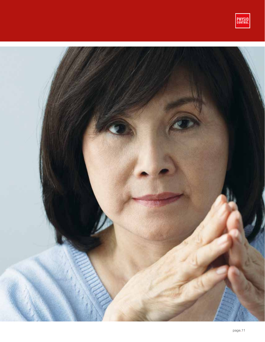

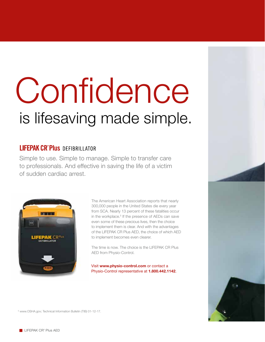## Confidence is lifesaving made simple.

#### **LIFEPAK CR<sup>®</sup>Plus** DEFIBRILLATOR

Simple to use. Simple to manage. Simple to transfer care to professionals. And effective in saving the life of a victim of sudden cardiac arrest.



The American Heart Association reports that nearly 300,000 people in the United States die every year from SCA. Nearly 13 percent of these fatalities occur in the workplace.<sup>5</sup> If the presence of AEDs can save even some of these precious lives, then the choice to implement them is clear. And with the advantages of the LIFEPAK CR Plus AED, the choice of which AED to implement becomes even clearer.

The time is now. The choice is the LIFEPAK CR Plus AED from Physio-Control.

Visit www.physio-control.com or contact a Physio-Control representative at 1.800.442.1142.



5 www.OSHA.gov; Technical Information Bulletin (TIB) 01-12-17.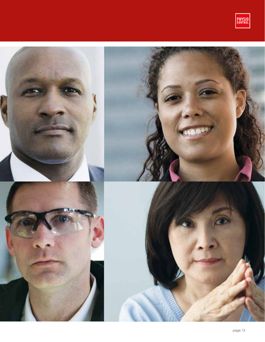

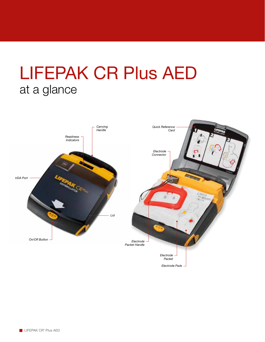### LIFEPAK CR Plus AED at a glance

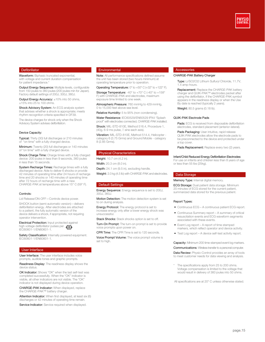#### **Defibrillator**

Waveform: Biphasic truncated exponential with voltage and current duration compensation for patient impedance.

Output Energy Sequence: Multiple levels, configurable from 150 joules to 360 joules (200 joules min for Japan). Factory default settings of 200J, 300J, 360J.

Output Energy Accuracy: ±10% into 50 ohms.  $±15%$  into 25 to 100 ohms.

Shock Advisory System: An ECG analysis system that advises whether a shock is appropriate; meets rhythm recognition criteria specified in DF39.

The device charges for shock only when the Shock Advisory System advises defibrillation.

#### Device Capacity:

Typical: Thirty (30) full discharges or 210 minutes of "on time" with a fully charged device.

Minimum: Twenty (20) full discharges or 140 minutes 'on time" with a fully charged device

Shock Charge Time: Charge times with a fully charged device: 200 joules in less than 9 seconds, 360 joules in less than 15 seconds.

System Recharge Times: Recharge times with a fully discharged device: Able to deliver 6 shocks or provide 42 minutes of operating time after 24 hours of recharge time and 20 shocks or 140 minutes of operating time after 72 hours of recharge time with a new CHARGE-PAK at temperatures above 15° C (59° F).

#### Controls:

Lid Release/ON-OFF—Controls device power.

Shock button (semi-automatic version)—delivers defibrillation energy. After electrodes are attached to a patient, the fully automatic version of the device delivers a shock, if appropriate, not requiring operator intervention.

Electrical Protection: Input protected against **high voltage defibrillator pulses per** - <del>1</del>大┣ IEC60601-1/EN60601-1.

Safety Classification: Internally powered equipment. IEC60601-1/EN60601-1.

#### User Interface

User Interface: The user interface includes voice prompts, audible tones and graphic prompts.

Readiness Display: The readiness display shows the device status.

OK Indicator: Shows "OK" when the last self-test was completed successfully. When the "OK" indicator is visible, all other indicators are not visible. The "OK" indicator is not displayed during device operation.

CHARGE-PAK Indicator: When displayed, replace the CHARGE-PAK™ battery charger.

Attention Indicator: When first displayed, at least six (6) discharges or 42 minutes of operating time remain.

Service Indicator: Service required when displayed.

#### **Environmental**

Note: All performance specifications defined assume the unit has been stored (two hours minimum) at operating temperature prior to operation.

Operating Temperature: 0° to +50° C (+32° to +122° F).

Storage Temperature: -40° to +70° C (-40° to +158° F) with CHARGE-PAK and electrodes, maximum exposure time limited to one week.

Atmospheric Pressure: 760 mmHg to 429 mmHg, 0 to 15,000 feet above sea level.

Relative Humidity: 5 to 95% (non-condensing).

Water Resistance: IEC60529/EN60529 IPX4 "Splash proof" with electrodes connected, CHARGE-PAK installed.

Shock: MIL-STD-810E, Method 516.4, Procedure 1, (40g, 6-9 ms pulse,  $\frac{y}{x}$  sine each axis).

Vibration: MIL-STD-810E, Method 514.4, Helicopter category 6 (3.75 Grms) and Ground Mobile - category 8 (2.85 Grms).

#### **Physical Characteristics**

Height: 10.7 cm (4.2 in).

Width: 20.3 cm (8.0 in).

Depth: 24.1 cm (9.5 in), excluding handle.

Weight: 2.0 kg (4.5 lb) with CHARGE-PAK and electrodes.

#### Default Settings

Energy Sequence: Energy sequence is set to 200J, 300J, 360J.

Motion Detection: The motion detection system is set to on during analysis.

Energy Protocol: The energy protocol is set to increase energy only after a lower energy shock was unsuccessful.

Stack Shocks: Stack shocks option is set to off.

Turn-On Prompt: The turn-on prompt is set to provide voice prompts upon power on.

CPR Time: The CPR Time is set to 120 seconds.

Voice Prompt Volume: The voice prompt volume is set to high.

#### **Accessories**

#### CHARGE-PAK Battery Charger

Type: Li/SO2Cl2 Lithium Sulfuryl Chloride, 11.7V, 1.4 amp-hours.

Replacement: Replace the CHARGE-PAK battery charger and QUIK-PAK™ electrodes packet after using the defibrillator, if the CHARGE-PAK symbol appears in the readiness display or when the Use By date is reached (typically 2 years).

Weight: 80.5 grams (0.18 lb).

#### QUIK-PAK Electrode Pads

Pads: ECG is received from disposable defibrillation ectrodes, standard placement (anterior-lateral).

Pads Packaging: User intuitive, rapid release Quik-Pak electrodes allow the electrode pads to be preconnected to the device and protected under a top cover.

Pads Replacement: Replace every two (2) years.

#### Infant/Child Reduced Energy Defibrillation Electrodes:

For use on infants and children less than 8 years of age or less than 55 lbs (25kg).

#### Data Storage

Memory Type: Internal digital memory.

**ECG Storage:** Dual patient data storage. Minimum 20 minutes of ECG stored for the current patient, summarized data stored for the previous patient.

#### Report Types:

- Continuous ECG A continuous patient ECG report.
- Continuous Summary report A summary of critical resuscitation events and ECG waveform segments associated with these events.
- Event Log report A report of time stamped markers, which reflect operator and device activity.
- Test Log report A device self-test activity report.

Capacity: Minimum 200 time-stamped event log markers. Communications: Wireless transfer to a personal computer.

Data Review: Physio-Control provides an array of tools to meet customer needs for data viewing and analysis.

The specifications apply from 25 to 200 ohms. Voltage compensation is limited to the voltage that would result in delivery of 360 joules into 50 ohms.

All specifications are at 20° C unless otherwise stated.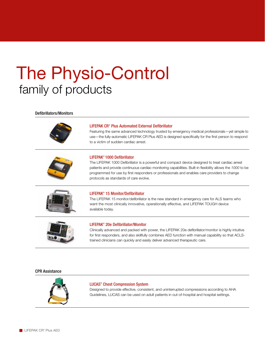### The Physio-Control family of products

#### Defibrillators/Monitors



#### LIFEPAK CR® Plus Automated External Defibrillator

Featuring the same advanced technology trusted by emergency medical professionals—yet simple to use—the fully-automatic LIFEPAK CR Plus AED is designed specifically for the first person to respond to a victim of sudden cardiac arrest.



#### LIFEPAK® 1000 Defibrillator

The LIFEPAK 1000 Defibrillator is a powerful and compact device designed to treat cardiac arrest patients and provide continuous cardiac monitoring capabilities. Built-in flexibility allows the *1000* to be programmed for use by first responders or professionals and enables care providers to change protocols as standards of care evolve.



#### LIFEPAK® 15 Monitor/Defibrillator

The LIFEPAK 15 monitor/defibrillator is the new standard in emergency care for ALS teams who want the most clinically innovative, operationally effective, and LIFEPAK TOUGH device available today.



#### LIFEPAK® 20e Defibrillator/Monitor

Clinically advanced and packed with power, the LIFEPAK 20e defibrillator/monitor is highly intuitive for first responders, and also skillfully combines AED function with manual capability so that ACLStrained clinicians can quickly and easily deliver advanced therapeutic care.

#### CPR Assistance



#### LUCAS® Chest Compression System

Designed to provide effective, consistent, and uninterrupted compressions according to AHA Guidelines, LUCAS can be used on adult patients in out-of-hospital and hospital settings.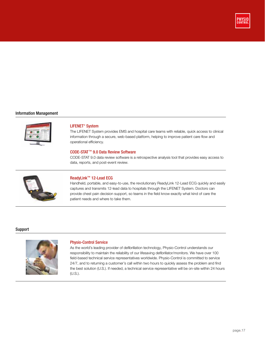

#### Information Management



#### LIFENET® System

The LIFENET System provides EMS and hospital care teams with reliable, quick access to clinical information through a secure, web-based platform, helping to improve patient care flow and operational efficiency.

#### CODE-STAT™ 9.0 Data Review Software

CODE-STAT 9.0 data review software is a retrospective analysis tool that provides easy access to data, reports, and post-event review.



#### ReadyLink™ 12-Lead ECG

Handheld, portable, and easy-to-use, the revolutionary ReadyLink 12-Lead ECG quickly and easily captures and transmits 12-lead data to hospitals through the LIFENET System. Doctors can provide chest pain decision support, so teams in the field know exactly what kind of care the patient needs and where to take them.

#### Support



#### Physio-Control Service

As the world's leading provider of defibrillation technology, Physio-Control understands our responsibility to maintain the reliability of our lifesaving defibrillator/monitors. We have over 100 field-based technical service representatives worldwide. Physio-Control is committed to service 24/7, and to returning a customer's call within two hours to quickly assess the problem and find the best solution (U.S.). If needed, a technical service representative will be on-site within 24 hours (U.S.).